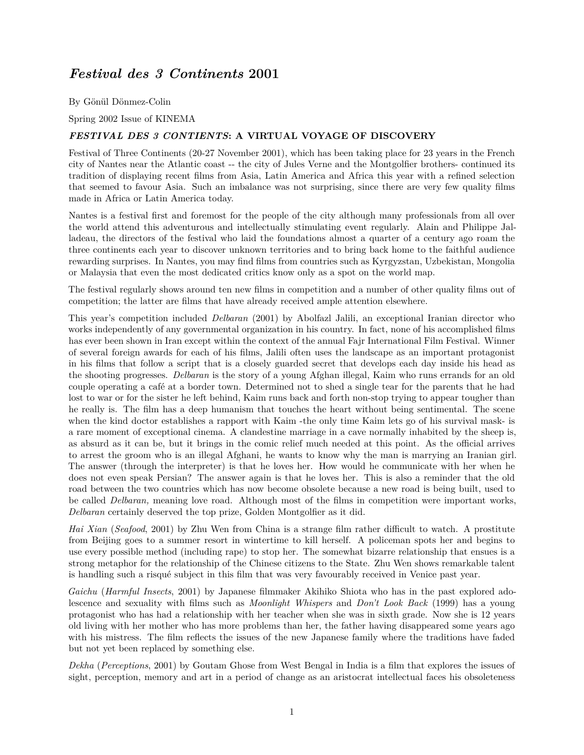# *Festival des 3 Continents* **2001**

By Gönül Dönmez-Colin

Spring 2002 Issue of KINEMA

### *FESTIVAL DES 3 CONTIENTS***: A VIRTUAL VOYAGE OF DISCOVERY**

Festival of Three Continents (20-27 November 2001), which has been taking place for 23 years in the French city of Nantes near the Atlantic coast -- the city of Jules Verne and the Montgolfier brothers- continued its tradition of displaying recent films from Asia, Latin America and Africa this year with a refined selection that seemed to favour Asia. Such an imbalance was not surprising, since there are very few quality films made in Africa or Latin America today.

Nantes is a festival first and foremost for the people of the city although many professionals from all over the world attend this adventurous and intellectually stimulating event regularly. Alain and Philippe Jalladeau, the directors of the festival who laid the foundations almost a quarter of a century ago roam the three continents each year to discover unknown territories and to bring back home to the faithful audience rewarding surprises. In Nantes, you may find films from countries such as Kyrgyzstan, Uzbekistan, Mongolia or Malaysia that even the most dedicated critics know only as a spot on the world map.

The festival regularly shows around ten new films in competition and a number of other quality films out of competition; the latter are films that have already received ample attention elsewhere.

This year's competition included *Delbaran* (2001) by Abolfazl Jalili, an exceptional Iranian director who works independently of any governmental organization in his country. In fact, none of his accomplished films has ever been shown in Iran except within the context of the annual Fajr International Film Festival. Winner of several foreign awards for each of his films, Jalili often uses the landscape as an important protagonist in his films that follow a script that is a closely guarded secret that develops each day inside his head as the shooting progresses. *Delbaran* is the story of a young Afghan illegal, Kaim who runs errands for an old couple operating a café at a border town. Determined not to shed a single tear for the parents that he had lost to war or for the sister he left behind, Kaim runs back and forth non-stop trying to appear tougher than he really is. The film has a deep humanism that touches the heart without being sentimental. The scene when the kind doctor establishes a rapport with Kaim -the only time Kaim lets go of his survival mask- is a rare moment of exceptional cinema. A clandestine marriage in a cave normally inhabited by the sheep is, as absurd as it can be, but it brings in the comic relief much needed at this point. As the official arrives to arrest the groom who is an illegal Afghani, he wants to know why the man is marrying an Iranian girl. The answer (through the interpreter) is that he loves her. How would he communicate with her when he does not even speak Persian? The answer again is that he loves her. This is also a reminder that the old road between the two countries which has now become obsolete because a new road is being built, used to be called *Delbaran,* meaning love road. Although most of the films in competition were important works, *Delbaran* certainly deserved the top prize, Golden Montgolfier as it did.

*Hai Xian* (*Seafood*, 2001) by Zhu Wen from China is a strange film rather difficult to watch. A prostitute from Beijing goes to a summer resort in wintertime to kill herself. A policeman spots her and begins to use every possible method (including rape) to stop her. The somewhat bizarre relationship that ensues is a strong metaphor for the relationship of the Chinese citizens to the State. Zhu Wen shows remarkable talent is handling such a risqué subject in this film that was very favourably received in Venice past year.

*Gaichu* (*Harmful Insects*, 2001) by Japanese filmmaker Akihiko Shiota who has in the past explored adolescence and sexuality with films such as *Moonlight Whispers* and *Don't Look Back* (1999) has a young protagonist who has had a relationship with her teacher when she was in sixth grade. Now she is 12 years old living with her mother who has more problems than her, the father having disappeared some years ago with his mistress. The film reflects the issues of the new Japanese family where the traditions have faded but not yet been replaced by something else.

*Dekha* (*Perceptions*, 2001) by Goutam Ghose from West Bengal in India is a film that explores the issues of sight, perception, memory and art in a period of change as an aristocrat intellectual faces his obsoleteness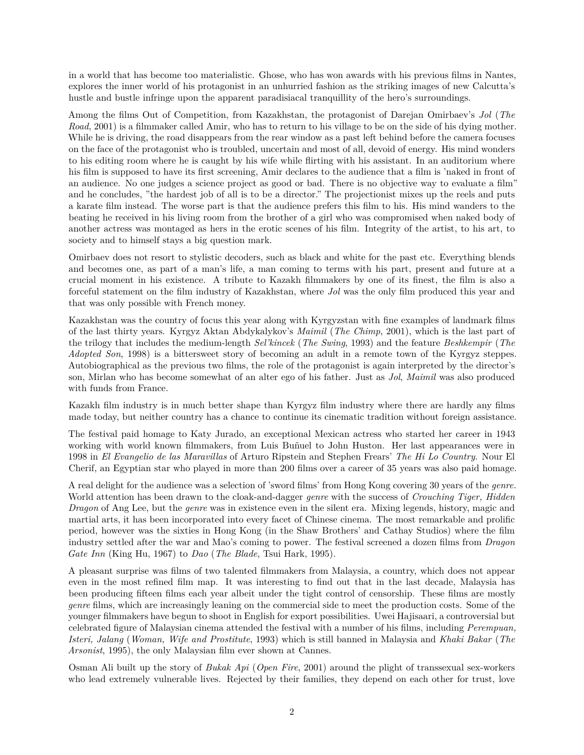in a world that has become too materialistic. Ghose, who has won awards with his previous films in Nantes, explores the inner world of his protagonist in an unhurried fashion as the striking images of new Calcutta's hustle and bustle infringe upon the apparent paradisiacal tranquillity of the hero's surroundings.

Among the films Out of Competition, from Kazakhstan, the protagonist of Darejan Omirbaev's *Jol* (*The Road*, 2001) is a filmmaker called Amir, who has to return to his village to be on the side of his dying mother. While he is driving, the road disappears from the rear window as a past left behind before the camera focuses on the face of the protagonist who is troubled, uncertain and most of all, devoid of energy. His mind wonders to his editing room where he is caught by his wife while flirting with his assistant. In an auditorium where his film is supposed to have its first screening, Amir declares to the audience that a film is 'naked in front of an audience. No one judges a science project as good or bad. There is no objective way to evaluate a film" and he concludes, "the hardest job of all is to be a director." The projectionist mixes up the reels and puts a karate film instead. The worse part is that the audience prefers this film to his. His mind wanders to the beating he received in his living room from the brother of a girl who was compromised when naked body of another actress was montaged as hers in the erotic scenes of his film. Integrity of the artist, to his art, to society and to himself stays a big question mark.

Omirbaev does not resort to stylistic decoders, such as black and white for the past etc. Everything blends and becomes one, as part of a man's life, a man coming to terms with his part, present and future at a crucial moment in his existence. A tribute to Kazakh filmmakers by one of its finest, the film is also a forceful statement on the film industry of Kazakhstan, where *Jol* was the only film produced this year and that was only possible with French money.

Kazakhstan was the country of focus this year along with Kyrgyzstan with fine examples of landmark films of the last thirty years. Kyrgyz Aktan Abdykalykov's *Maimil* (*The Chimp*, 2001), which is the last part of the trilogy that includes the medium-length *Sel'kincek* (*The Swing*, 1993) and the feature *Beshkempir* (*The Adopted Son*, 1998) is a bittersweet story of becoming an adult in a remote town of the Kyrgyz steppes. Autobiographical as the previous two films, the role of the protagonist is again interpreted by the director's son, Mirlan who has become somewhat of an alter ego of his father. Just as *Jol*, *Maimil* was also produced with funds from France.

Kazakh film industry is in much better shape than Kyrgyz film industry where there are hardly any films made today, but neither country has a chance to continue its cinematic tradition without foreign assistance.

The festival paid homage to Katy Jurado, an exceptional Mexican actress who started her career in 1943 working with world known filmmakers, from Luis Buñuel to John Huston. Her last appearances were in 1998 in *El Evangelio de las Maravillas* of Arturo Ripstein and Stephen Frears' *The Hi Lo Country*. Nour El Cherif, an Egyptian star who played in more than 200 films over a career of 35 years was also paid homage.

A real delight for the audience was a selection of 'sword films' from Hong Kong covering 30 years of the *genre.* World attention has been drawn to the cloak-and-dagger *genre* with the success of *Crouching Tiger, Hidden Dragon* of Ang Lee, but the *genre* was in existence even in the silent era. Mixing legends, history, magic and martial arts, it has been incorporated into every facet of Chinese cinema. The most remarkable and prolific period, however was the sixties in Hong Kong (in the Shaw Brothers' and Cathay Studios) where the film industry settled after the war and Mao's coming to power. The festival screened a dozen films from *Dragon Gate Inn* (King Hu, 1967) to *Dao* (*The Blade*, Tsui Hark, 1995).

A pleasant surprise was films of two talented filmmakers from Malaysia, a country, which does not appear even in the most refined film map. It was interesting to find out that in the last decade, Malaysia has been producing fifteen films each year albeit under the tight control of censorship. These films are mostly *genre* films, which are increasingly leaning on the commercial side to meet the production costs. Some of the younger filmmakers have begun to shoot in English for export possibilities. Uwei Hajisaari, a controversial but celebrated figure of Malaysian cinema attended the festival with a number of his films, including *Perempuan, Isteri, Jalang* (*Woman, Wife and Prostitute*, 1993) which is still banned in Malaysia and *Khaki Bakar* (*The Arsonist*, 1995), the only Malaysian film ever shown at Cannes.

Osman Ali built up the story of *Bukak Api* (*Open Fire*, 2001) around the plight of transsexual sex-workers who lead extremely vulnerable lives. Rejected by their families, they depend on each other for trust, love